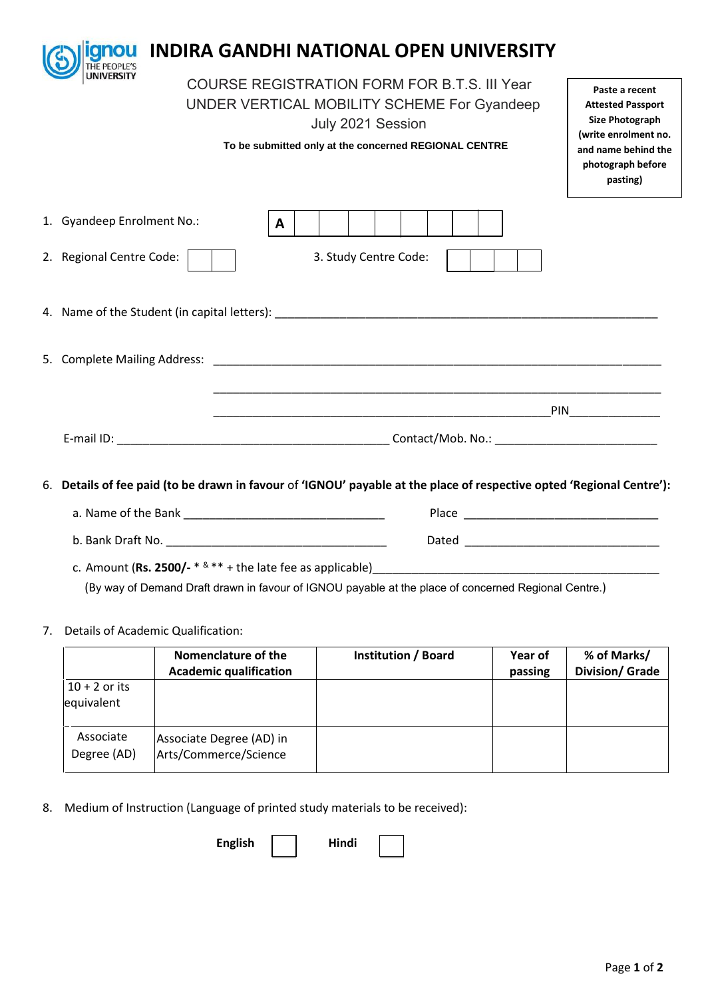| anou<br>THE PEOPLE'S       | <b>INDIRA GANDHI NATIONAL OPEN UNIVERSITY</b>                                                                                                                                                                                                                                                                                            |  |  |  |  |  |
|----------------------------|------------------------------------------------------------------------------------------------------------------------------------------------------------------------------------------------------------------------------------------------------------------------------------------------------------------------------------------|--|--|--|--|--|
| UNIVERSITY                 | <b>COURSE REGISTRATION FORM FOR B.T.S. III Year</b><br>Paste a recent<br>UNDER VERTICAL MOBILITY SCHEME For Gyandeep<br><b>Attested Passport</b><br><b>Size Photograph</b><br>July 2021 Session<br>(write enrolment no.<br>To be submitted only at the concerned REGIONAL CENTRE<br>and name behind the<br>photograph before<br>pasting) |  |  |  |  |  |
| 1. Gyandeep Enrolment No.: | $\mathbf{A}$                                                                                                                                                                                                                                                                                                                             |  |  |  |  |  |
| 2. Regional Centre Code:   | 3. Study Centre Code:                                                                                                                                                                                                                                                                                                                    |  |  |  |  |  |
|                            |                                                                                                                                                                                                                                                                                                                                          |  |  |  |  |  |
|                            |                                                                                                                                                                                                                                                                                                                                          |  |  |  |  |  |
|                            |                                                                                                                                                                                                                                                                                                                                          |  |  |  |  |  |
|                            |                                                                                                                                                                                                                                                                                                                                          |  |  |  |  |  |
|                            | 6. Details of fee paid (to be drawn in favour of 'IGNOU' payable at the place of respective opted 'Regional Centre'):                                                                                                                                                                                                                    |  |  |  |  |  |
|                            |                                                                                                                                                                                                                                                                                                                                          |  |  |  |  |  |
| b. Bank Draft No.          | Dated                                                                                                                                                                                                                                                                                                                                    |  |  |  |  |  |

c. Amount (**Rs. 2500/-** \* & \*\* + the late fee as applicable)\_\_\_\_\_\_\_\_\_\_\_\_\_\_\_\_\_\_\_\_\_\_\_\_\_\_\_\_\_\_\_\_\_\_\_\_\_\_\_\_\_\_\_\_ (By way of Demand Draft drawn in favour of IGNOU payable at the place of concerned Regional Centre.)

## 7. Details of Academic Qualification:

|                               | Nomenclature of the<br><b>Academic qualification</b> | <b>Institution / Board</b> | Year of<br>passing | % of Marks/<br><b>Division/ Grade</b> |
|-------------------------------|------------------------------------------------------|----------------------------|--------------------|---------------------------------------|
| $10 + 2$ or its<br>equivalent |                                                      |                            |                    |                                       |
| Associate<br>Degree (AD)      | Associate Degree (AD) in<br>Arts/Commerce/Science    |                            |                    |                                       |

8. Medium of Instruction (Language of printed study materials to be received):

English | Hindi